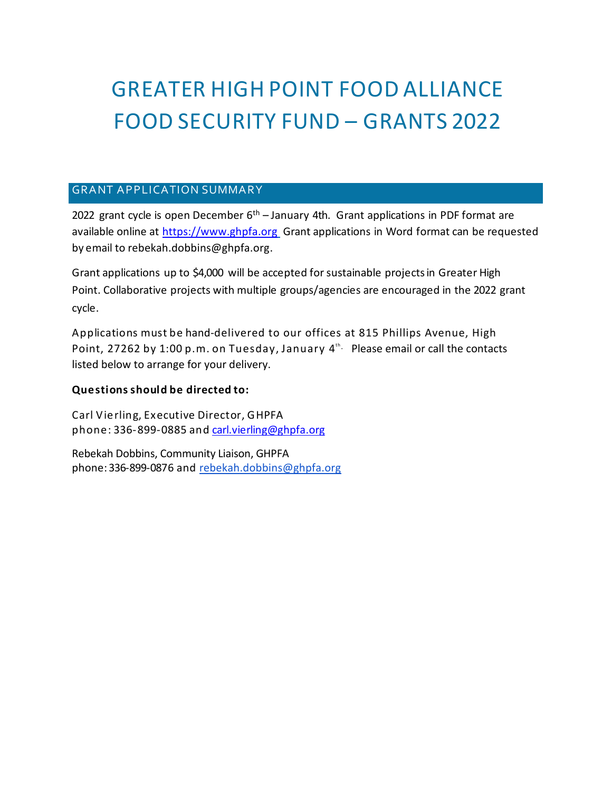# GREATER HIGH POINT FOOD ALLIANCE FOOD SECURITY FUND – GRANTS 2022

## **GRANT APPLICATION SUMMARY**

2022 grant cycle is open December  $6<sup>th</sup>$  – January 4th. Grant applications in PDF format are available online at [https://www.ghpfa.org](https://www.ghpfa.org/) Grant applications in Word format can be requested by email to rebekah.dobbins@ghpfa.org.

Grant applications up to \$4,000 will be accepted for sustainable projects in Greater High Point. Collaborative projects with multiple groups/agencies are encouraged in the 2022 grant cycle.

Applications must be hand-delivered to our offices at 815 Phillips Avenue, High Point, 27262 by 1:00 p.m. on Tuesday, January  $4^{\text{th}}$  Please email or call the contacts listed below to arrange for your delivery.

### **Questions should be directed to:**

Carl Vierling, Executive Director, GHPFA phone: 336-899-0885 and [carl.vierling@ghpfa.org](mailto:carl.vierling@ghpfa.org)

Rebekah Dobbins, Community Liaison, GHPFA phone: 336-899-0876 and rebekah.dobbins@ghpfa.org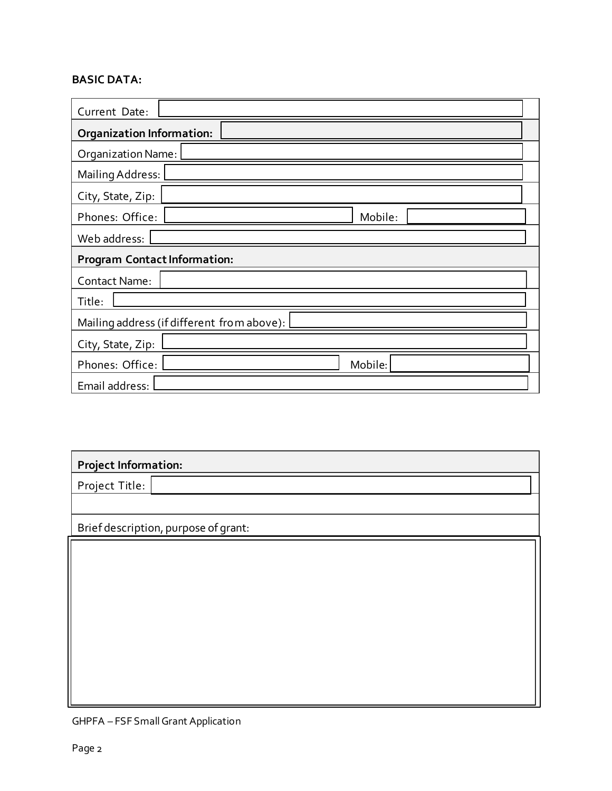## **BASIC DATA:**

| Current Date:                              |  |         |  |  |
|--------------------------------------------|--|---------|--|--|
| <b>Organization Information:</b>           |  |         |  |  |
| Organization Name:                         |  |         |  |  |
| Mailing Address:                           |  |         |  |  |
| City, State, Zip:                          |  |         |  |  |
| Phones: Office:                            |  | Mobile: |  |  |
| Web address:                               |  |         |  |  |
| <b>Program Contact Information:</b>        |  |         |  |  |
| Contact Name:                              |  |         |  |  |
| Title:                                     |  |         |  |  |
| Mailing address (if different from above): |  |         |  |  |
| City, State, Zip:                          |  |         |  |  |
| Phones: Office:                            |  | Mobile: |  |  |
| Email address:                             |  |         |  |  |

# **Project Information:**

Project Title:

Brief description, purpose of grant:

GHPFA – FSF SmallGrant Application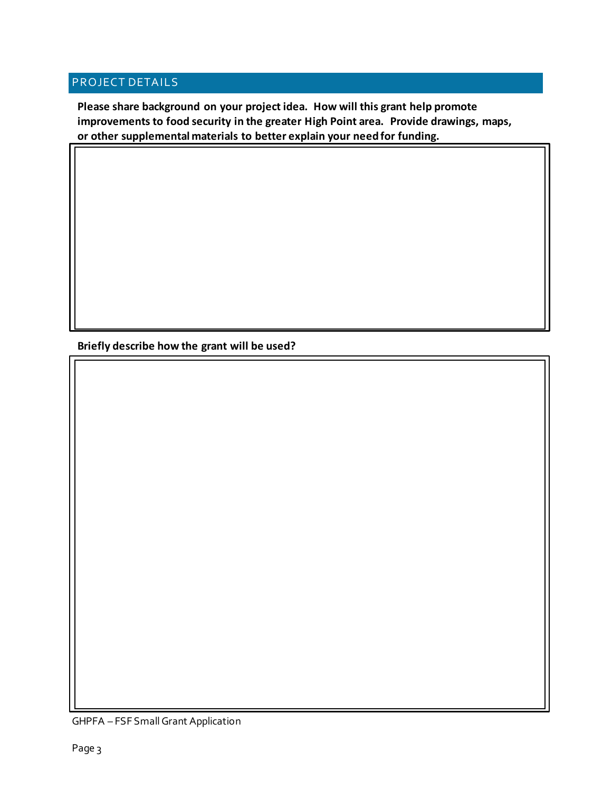## PROJECT DETAILS

**Please share background on your project idea. How will this grant help promote improvements to food security in the greater High Point area. Provide drawings, maps, or other supplemental materials to better explain your needfor funding.**

**Briefly describe how the grant will be used?**

GHPFA - FSF Small Grant Application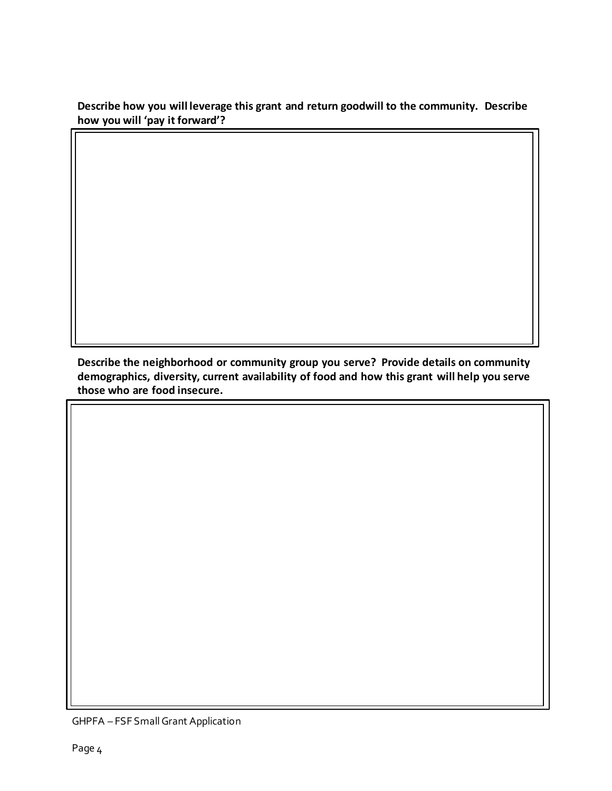**Describe how you will leverage this grant and return goodwill to the community. Describe how you will 'pay it forward'?**

**Describe the neighborhood or community group you serve? Provide details on community demographics, diversity, current availability of food and how this grant will help you serve those who are food insecure.**

GHPFA - FSF Small Grant Application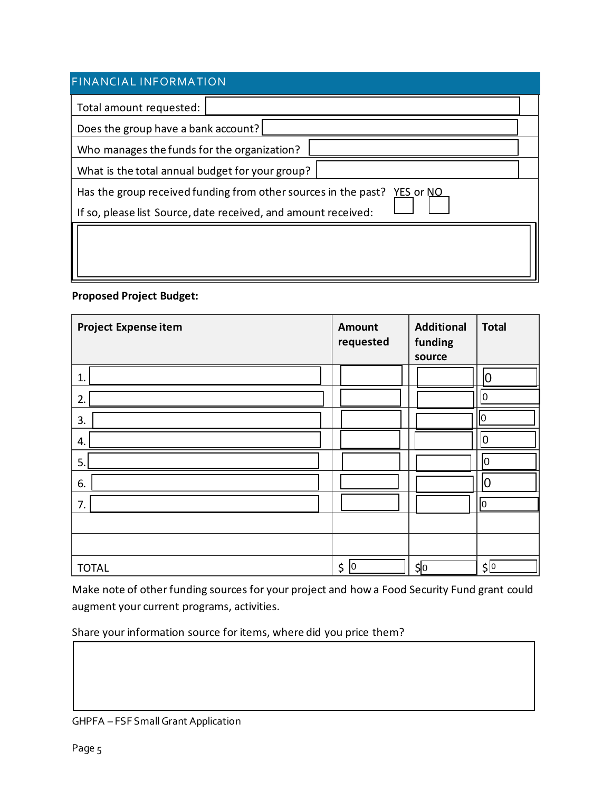| <b>FINANCIAL INFORMATION</b>                                                                                                                  |  |  |  |  |
|-----------------------------------------------------------------------------------------------------------------------------------------------|--|--|--|--|
| Total amount requested:                                                                                                                       |  |  |  |  |
| Does the group have a bank account?                                                                                                           |  |  |  |  |
| Who manages the funds for the organization?                                                                                                   |  |  |  |  |
| What is the total annual budget for your group?                                                                                               |  |  |  |  |
| Has the group received funding from other sources in the past?<br>YES or NO<br>If so, please list Source, date received, and amount received: |  |  |  |  |
|                                                                                                                                               |  |  |  |  |

### **Proposed Project Budget:**

| <b>Project Expense item</b> | <b>Amount</b><br>requested | <b>Additional</b><br>funding<br>source | <b>Total</b>  |
|-----------------------------|----------------------------|----------------------------------------|---------------|
| 1.                          |                            |                                        | 0             |
| 2.                          |                            |                                        | 10            |
| 3.                          |                            |                                        | 0             |
| 4.                          |                            |                                        | 10            |
| 5.                          |                            |                                        | 10            |
| 6.                          |                            |                                        | 0             |
| 7.                          |                            |                                        | Iо            |
|                             |                            |                                        |               |
|                             |                            |                                        |               |
| <b>TOTAL</b>                | $ 0\rangle$<br>\$          | \$O                                    | $\frac{1}{2}$ |

Make note of other funding sources for your project and how a Food Security Fund grant could augment your current programs, activities.

Share your information source for items, where did you price them?

GHPFA - FSF Small Grant Application